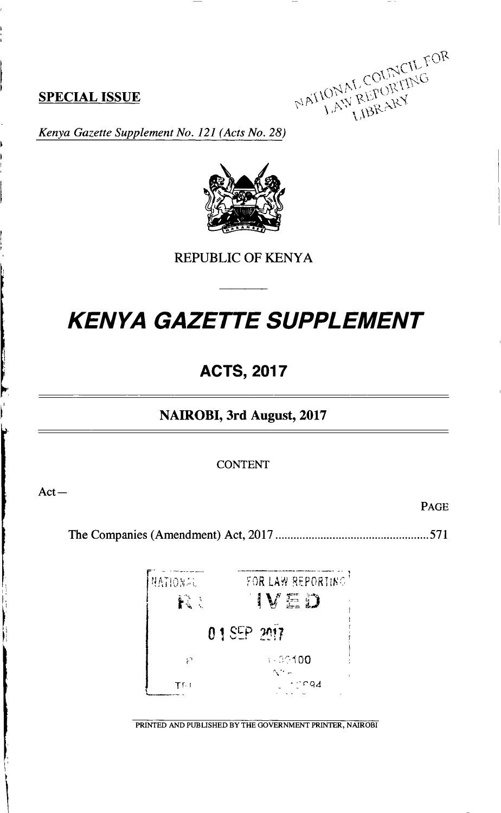NATIONAL COUNCIL FOR

# **SPECIAL ISSUE**

Kenya Gazette Supplement No. 121 (Acts No. 28)



REPUBLIC OF KENYA

# **KENYA GAZETTE SUPPLEMENT**

# **ACTS, 2017**

**NAIROBI, 3rd August, 2017** 

**CONTENT** 

 $Act-$ 

**PAGE** 

NATIONAL FOR LAW REPORTING RI IVED  $01$  SEP  $2017$  $3 - 39100$ P  $rac{1}{2}$  $TFI$ 

PRINTED AND PUBLISHED BY THE GOVERNMENT PRINTER, NAIROBI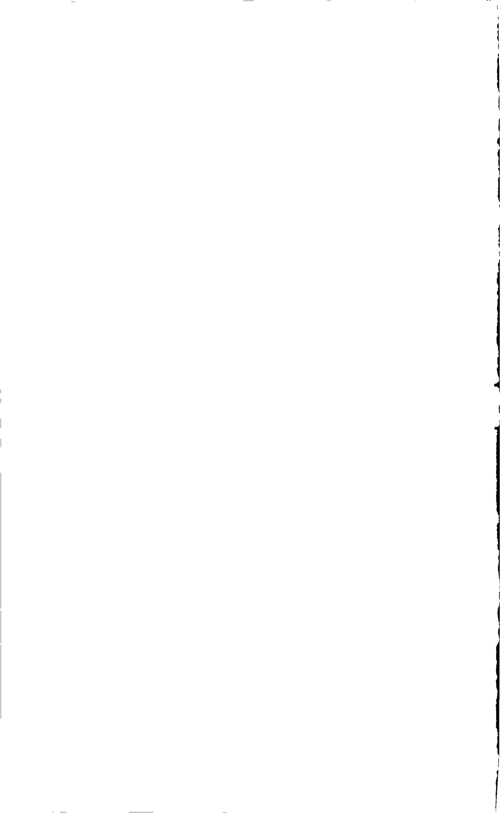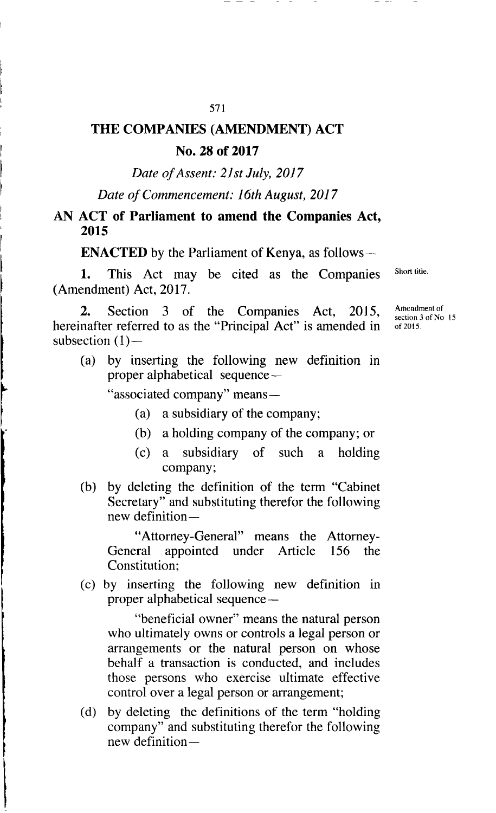# THE COMPANIES (AMENDMENT) ACT No. 28 of 2017

Date of Assent: 21st July, 2017

Date of Commencement: 16th August, 2017

# AN ACT of Parliament to amend the Companies Act, 2015

**ENACTED** by the Parliament of Kenya, as follows-

1. This Act may be cited as the Companies (Amendment) Act, 2017.

2. Section 3 of the Companies Act, 2015, hereinafter referred to as the "Principal Act" is amended in subsection  $(1)$  —

(a) by inserting the following new definition in proper alphabetical sequence-

"associated company" means -

- (a) a subsidiary of the company;
- (b) a holding company of the company; or
- (c) a subsidiary of such a holding company;
- (b) by deleting the definition of the term "Cabinet Secretary" and substituting therefor the following new definition-

"Attorney-General" means the Attorney-<br>eral appointed under Article 156 the General appointed under Article Constitution;

(c) by inserting the following new definition in proper alphabetical sequence-

"beneficial owner" means the natural person who ultimately owns or controls a legal person or arrangements or the natural person on whose behalf a transaction is conducted, and includes those persons who exercise ultimate effective control over a legal person or arrangement;

(d) by deleting the definitions of the term "holding company" and substituting therefor the following new definitionArhendment of section 3 of No 15 of 201 5.

Short title.

57r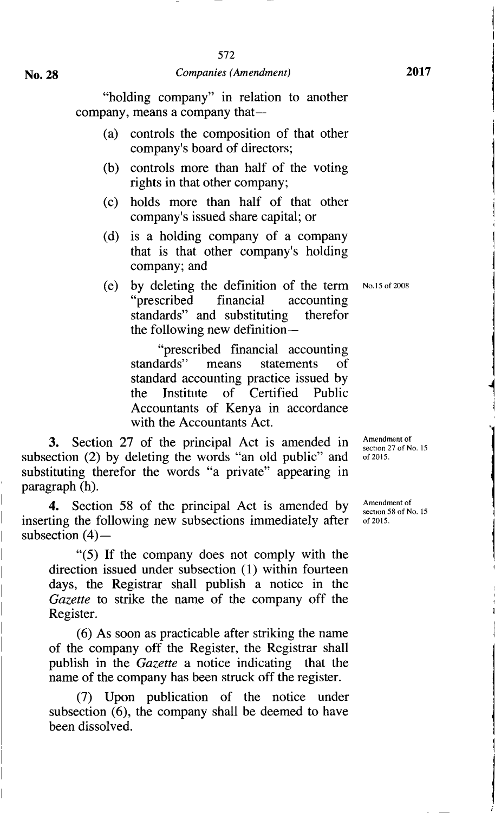"holding company" in relation to another company, means a company that-

- (a) controls the composition of<br>company's board of directors; controls the composition of that other
- (b) controls more than half of the voting rights in that other company;
- (c) holds more than half of that other company's issued share capital; or
- (d) is a holding company of a company that is that other company's holding<br>company; and
- (e) by deleting the definition of the term "prescribed financial accounting<br>standards" and substituting therefor standards" and substituting the following new definition-

"prescribed financial accounting<br>standards" means statements of means statements of standard accounting practice issued by the Institute of Certified Public Accountants of Kenya in accordance with the Accountants Act.

3. Section 27 of the principal Act is amended in subsection (2) by deleting the words "an old public" and substituting therefor the words "a private" appearing in paragraph (h).

4. Section 58 of the principal Act is amended by inserting the following new subsections immediately after subsection  $(4)$ -

"(5) If the company does not comply with the direction issued under subsection (1) within fourteen days, the Registrar shall publish a notice in the Gazette to strike the name of the company off the Register.

(6) As soon as practicable after striking the name of the company off the Register, the Registrar shall publish in the Gazette a notice indicating that the name of the company has been struck off the register.

(7) Upon publication of the notice under subsection  $(6)$ , the company shall be deemed to have been dissolved.

Amendment of section 27 of No. 15 of 2015.

Amendment of section 58 of No. 15 of 2015.

No.15 of 2008

2017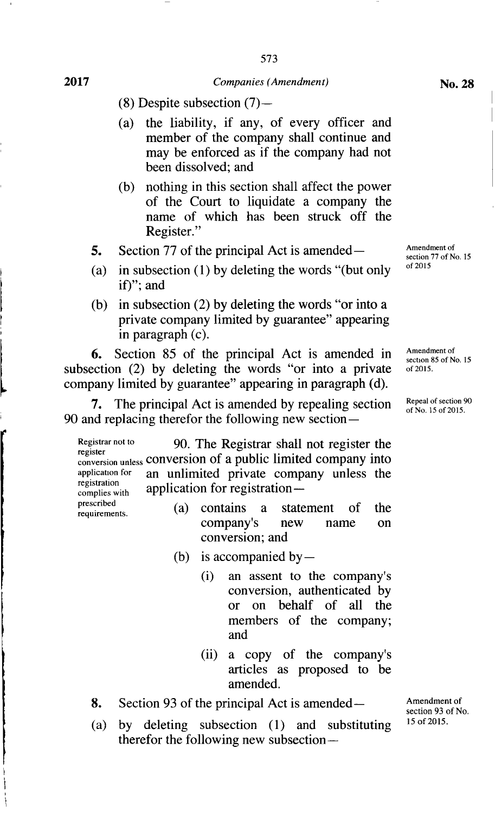- $(8)$  Despite subsection  $(7)$ —
- the liability, if any, of every officer and member of the company shall continue and may be enforced as if the company had not been dissolved; and (a)
- (b) nothing in this section shall affect the power of the Court to liquidate a company the name of which has been struck off the Register."
- 5. Section 77 of the principal Act is amended-
- (a) in subsection (1) by deleting the words "(but only if)"; and
- (b) in subsection  $(2)$  by deleting the words "or into a private company limited by guarantee" appearing in paragraph (c).

6. Section 85 of the principal Act is amended in subsection (2) by deleting the words "or into a private company limited by guarantee" appearing in paragraph (d).

7. The principal Act is amended by repealing section 90 and replacing therefor the following new section-

Registrar not to  $90.$  The Registrar shall not register the register<br>
conversion unless conversion of a public limited company into<br>
application for an unlimited private company unless the application for an unlimited private company unless the registration  $r_{\text{complex with}}$  application for registration -

- prescribed<br>requirements. (a) contains a statement of the<br>company's new name on company's conversion; and
	- (b) is accompanied by  $-$ 
		- (i) an assent to the company's conversion, authenticated by or on behalf of all the members of the company; and
		- (ii) a copy of the company's articles as proposed to be amended.

8. Section 93 of the principal Act is amended-

(a) by deleting subsection (1) and substituting therefor the following new subsection-

Amendment of section 77 of No. 15 of 2015

Amendment of section 85 of No. 15 of 2015.

Repeal of section 90 of No. 15 of 2015.

Amendment of section 93 of No 15 of 2015.

2017

register

prescribed

t I L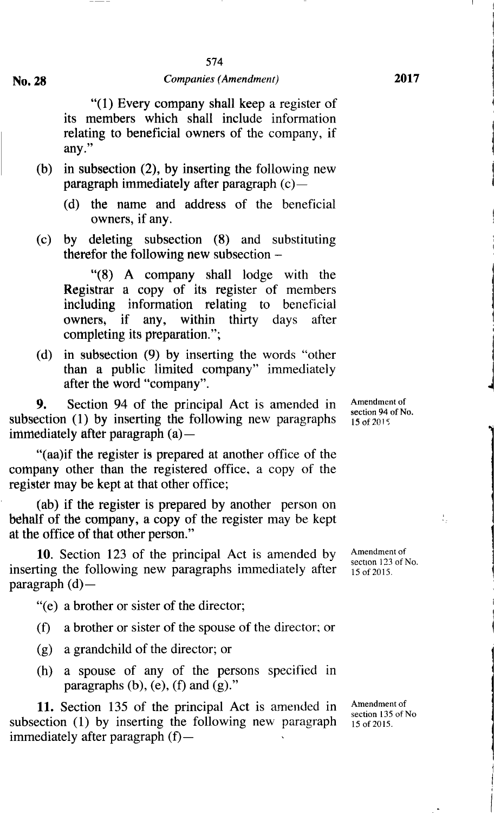# No.2E Companies (Amendment) <sup>2017</sup>

"(1) Every company shall keep a register of its members which shall include information relating to beneficial owners of the company, if any."

- (b) in subsection (2), by inserting the following new paragraph immediately after paragraph  $(c)$ —
	- (d) the name and address of the beneficial owners, if any.
- (c) by deleting subsection (8) and substituting therefor the following new subsection -

"(8) A company shall lodge with the Registrar a copy of its register of members including information relating to beneficial<br>owners, if any, within thirty days after thirty days completing its preparation.";

(d) in subsection (9) by inserting the words "other than a public limited company" immediately after the word "company".

9. Section 94 of the principal Act is amended in subsection  $(1)$  by inserting the following new paragraphs immediately after paragraph  $(a)$ —

"(aa)if the register is prepared at another office of the company other than the registered office. a copy of the register may be kept at that other office;

(ab) if the register is prepared by another person on behalf of the company, a copy of the register may be kept at the office of that other person."

10. Section 123 of the principal Act is amended by inserting the following new paragraphs immediately after paragraph  $(d)$ —

"(e) a brother or sister of the director;

 $(f)$  a brother or sister of the spouse of the director; or

- (g) a grandchild of the director; or
- (h) a spouse of any of the persons specified in paragraphs  $(b)$ ,  $(e)$ ,  $(f)$  and  $(g)$ ."

11. Section 135 of the principal Act is amended in subsection (1) by inserting the following new paragraph immediately after paragraph  $(f)$ —

Amendment of section 123 of No. 15 of 2015.

 $\frac{1}{1+\epsilon}$ 

Amendment of section 135 of No 15 of 2015.

Amendment of section 94 of No. l5of20l5

I  $\overline{\phantom{a}}$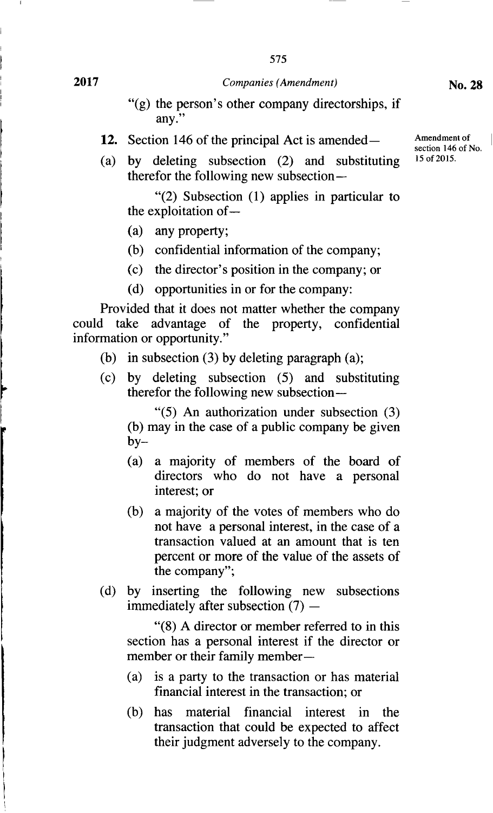575

- "(g) the person's other company directorships, if any."
- 12. Section 146 of the principal Act is amended—
- (a) by deleting subsection (2) and substituting therefor the following new subsection—

"(2) Subsection (1) applies in particular to the exploitation of  $-$ 

- (a) any property;
- (b) confidential information of the company;
- (c) the director's position in the company; or
- (d) opportunities in or for the company:

Provided that it does not matter whether the company could take advantage of the property, confidential information or opportunity."

- (b) in subsection (3) by deleting paragraph (a);
- (c) by deleting subsection (5) and substituting therefor the following new subsection—

(b) may in the case of a public company be given  $by-$ "(5) An authorization under subsection (3)

- (a) a majority of members of the board of directors who do not have a personal interest; or
- (b) a majority of the votes of members who do not have a personal interest, in the case of a transaction valued at an amount that is ten percent or more of the value of the assets of the company";
- (d) by inserting the following new subsections immediately after subsection (7) -

"(8) A director or member referred to in this section has a personal interest if the director or member or their family member-

- (a) is a party to the transaction or has material financial interest in the transaction; or
- (b) has material financial interest in the transaction that could be expected to affect their judgment adversely to the company.

No.28

Amendment of section 146 of No. l5 of2015.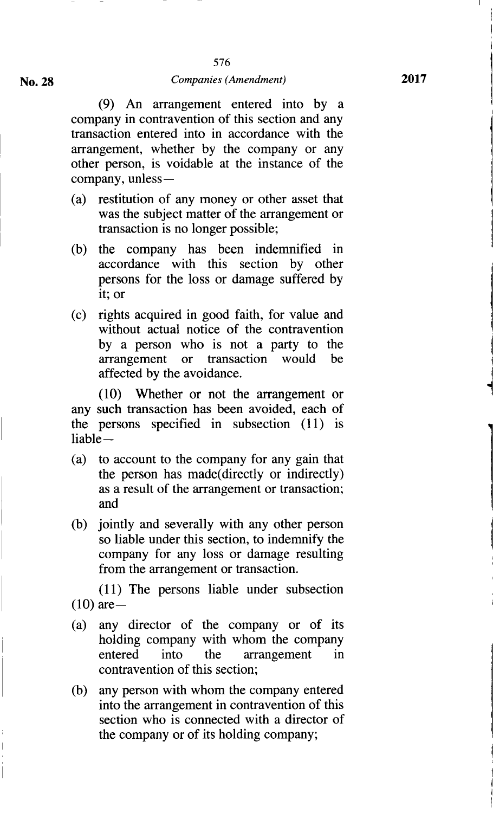# No.28 Companies (Amendment)

(9) An arrangement entered into by <sup>a</sup> company in contravention of this section and any transaction entered into in accordance with the arrangement, whether by the company or any other person, is voidable at the instance of the company, unless-

- (a) restitution of any money or other asset that was the subject matter of the arrangement or transaction is no longer possible;
- (b) the company has been indemnified in accordance with this section by other persons for the loss or damage suffered by it; or
- (c) rights acquired in good faith, for value and without actual notice of the contravention by a person who is not a party to the arrangement or transaction would be affected by the avoidance.

(10) Whether or not the arrangement or any such transaction has been avoided, each of the persons specified in subsection (11) is liable-

- (a) to account to the company for any gain that the person has made(directly or indirectly) as a result of the arrangement or transaction; and
- (b) jointly and severally with any other person so liable under this section, to indemnify the company for any loss or damage resulting from the arrangement or transaction.

(11) The persons liable under subsection  $(10)$  are  $-$ 

- (a) any director of the company or of its holding company with whom the company entered into the arrangement in contravention of this section;
- (b) any person with whom the company entered into the arrangement in contravention of this section who is connected with a director of the company or of its holding company;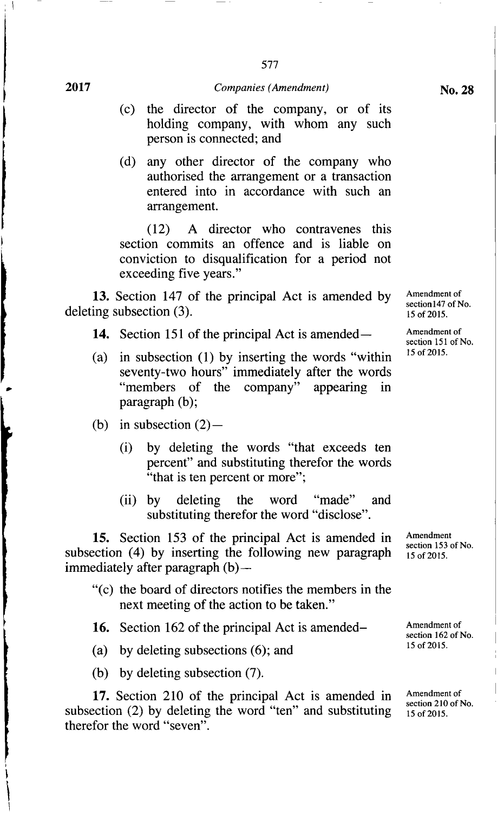- (c) the director of the company, or of its holding company, with whom any such person is connected; and
- (d) any other director of the company who authorised the arrangement or a transaction entered into in accordance with such an arrangement.

(I2) A director who contravenes this section commits an offence and is liable on conviction to disqualification for a period not exceeding five years."

13. Section 147 of the principal Act is amended by deleting subsection (3).

- 14. Section 151 of the principal Act is amended—
- (a) in subsection (1) by inserting the words "within seventy-two hours" immediately after the words "members of the company" appearing in paragraph (b);
- (b) in subsection  $(2)$  -

2017

- (i) by deleting the words "that exceeds ten percent" and substituting therefor the words "that is ten percent or more";
- (ii) by deleting the word "made" and substituting therefor the word "disclose".

15. Section 153 of the principal Act is amended in subsection (4) by inserting the following new paragraph immediately after paragraph  $(b)$ —

"(c) the board of directors notifies the members in the next meeting of the action to be taken."

16. Section 162 of the principal Act is amended-

- (a) by deleting subsections (6); and
- (b) by deleting subsection (7).

17. Section 210 of the principal Act is amended in subsection (2) by deleting the word "ten" and substituting therefor the word "seven".

Amendment of section147 of No. 15 of 2015.

Amendment of section 151 of No. 15 of 2015.

Amendment section 153 of No. 15 of 2015.

Amendment of section 162 of No. 15 of 2015.

Amendment of section 210 of No. 15 of 2015.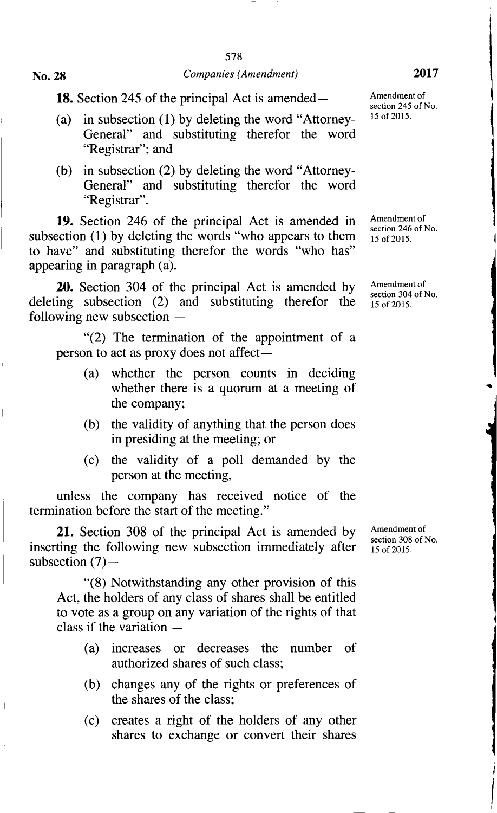18. Section 245 of the principal Act is amended $-$ 

- (a) in subsection (1) by deleting the word "Attorney-General" and substituting therefor the word "Registrar"; and
- (b) in subsection (2) by deleting the word "Attorney-General" and substituting therefor the word "Registrar".

19. Section 246 of the principal Act is amended in subsection (1) by deleting the words "who appears to them to have" and substituting therefor the words "who has" appearing in paragraph (a).

20. Section 304 of the principal Act is amended by deleting subsection (2) and substituting therefor the following new subsection -

"(2) The termination of the appointment of <sup>a</sup> person to act as proxy does not affect-

- (a) whether the person counts in deciding whether there is a quorum at a meeting of the company;
- (b) the validity of anything that the person does in presiding at the meeting; or
- (c) the validity of a poll demanded by the person at the meeting,

unless the company has received notice of the termination before the start of the meeting."

21. Section 308 of the principal Act is amended by inserting the following new subsection immediately after subsection  $(7)$  -

"(8) Notwithstanding any other provision of this Act, the holders of any class of shares shall be entitled to vote as a group on any variation of the rights of that class if the variation -

- (a) increases or decreases the number of authorized shares of such class;
- (b) changes any of the rights or preferences of the shares of the class;
- (c) creates a right of the holders of any other shares to exchange or convert their shares

Amendment of section 308 of No. 15 of 2015.

I I

I I

Amendment of section 246 of No. 15 of 2015.

Amendment of section 304 of No. 15 of 2015.

#### No.28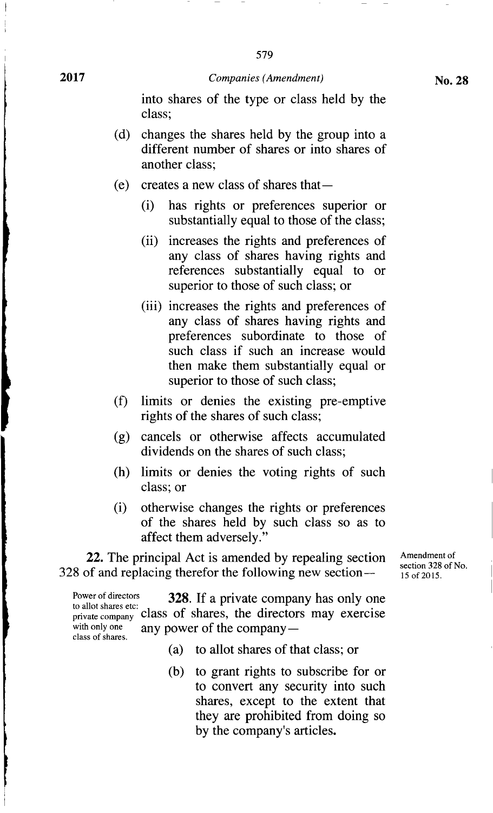579

into shares of the type or class held by the class;

- (d) changes the shares held by the group into <sup>a</sup> different number of shares or into shares of another class;
- (e) creates a new class of shares that $-$ 
	- (i) has rights or preferences superior or substantially equal to those of the class;
	- (ii) increases the rights and preferences of any class of shares having rights and references substantially equal to or superior to those of such class; or
	- (iii) increases the rights and preferences of any class of shares having rights and preferences subordinate to those of such class if such an increase would then make them substantially equal or superior to those of such class:
- (0 limits or denies the existing pre-emptive rights of the shares of such class;
- (g) cancels or otherwise affects accumulated dividends on the shares of such class;
- (h) limits or denies the voting rights of such class; or
- (i) otherwise changes the rights or preferences of the shares held by such class so as to affect them adversely."

22. The principal Act is amended by repealing section 328 of and replacing therefor the following new section—

Power of directors to allot shares etc: with only one class of shares.

o anot shares etc. Class of shares, the directors may exercise 328. If a private company has only one any power of the company-

- (a) to allot shares of that class; or
- (b) to grant rights to subscribe for or to convert any security into such shares, except to the extent that they are prohibited from doing so by the company's articles.

Amendment of section 328 of No. 15 of 2015.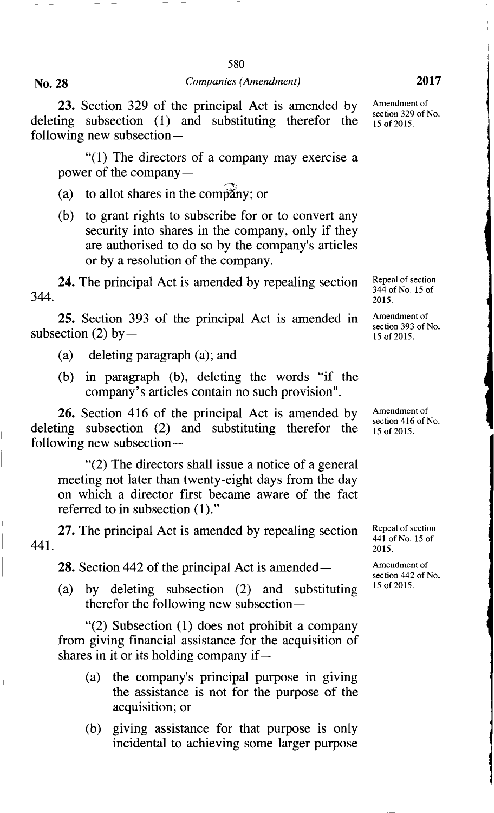No. 28

#### Companies (Amendment)

23. Section 329 of the principal Act is amended by deleting subsection (1) and substituting therefor the following new subsection-

"(1) The directors of a company may exercise <sup>a</sup> power of the company-

- (a) to allot shares in the company; or
- (b) to grant rights to subscribe for or to convert any security into shares in the company, only if they are authorised to do so by the company's articles or by a resolution of the company.

24.The principal Act is amended by repealing section 344.

25. Section 393 of the principal Act is amended in subsection  $(2)$  by –

- (a) deleting paragraph (a); and
- (b) in paragraph (b), deleting the words "if the company's articles contain no such provision".

26. Section 416 of the principal Act is amended by deleting subsection (2) and substituting therefor the following new subsection-

"(2) The directors shall issue a notice of a general meeting not later than twenty-eight days from the day on which a director first became aware of the fact referred to in subsection (1)."

27. The principal Act is amended by repealing section 441.

28. Section 442 of the principal Act is amended—

(a) by deleting subsection (2) and substituting therefor the following new subsection-

"(2) Subsection (1) does not prohibit a company from giving financial assistance for the acquisition of shares in it or its holding company if  $-$ 

- (a) the company's principal purpose in giving the assistance is not for the purpose of the acquisition; or
- (b) giving assistance for that purpose is only incidental to achieving some larger purpose

Amendment of section 329 of No. 15 of 2015.

Repeal of section  $344$  of No. 15 of 2015.

Amendment of section 393 of No. l5 of20l5.

Amendment of section 416 of No. 15 of 2015.

Repeal of section 441 ofNo. 15 of 2015.

Amendment of section 442 of No. 15 of 2015.

> I I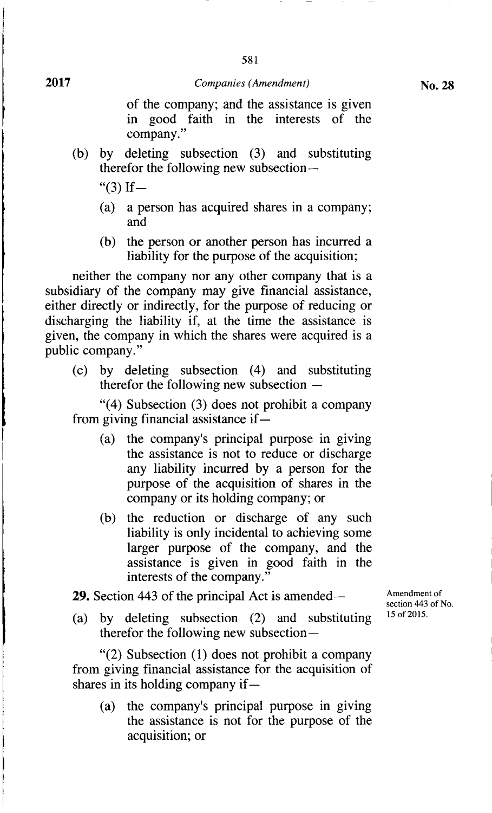581

of the company; and the assistance is given in good faith in the interests of the company."

- (b) by deleting subsection (3) and substituting therefor the following new subsection-
	- "(3) If  $-$
	- (a) a person has acquired shares in a company; and
	- (b) the person or another person has incurred <sup>a</sup> liability for the purpose of the acquisition;

neither the company nor any other company that is a subsidiary of the company may give financial assistance, either directly or indirectly, for the purpose of reducing or discharging the liability if, at the time the assistance is given, the company in which the shares were acquired is a public company."

(c) by deleting subsection (4) and substituting therefor the following new subsection -

"(4) Subsection (3) does not prohibit a company from giving financial assistance if—

- (a) the company's principal purpose in giving the assistance is not to reduce or discharge any liability incurred by a person for the purpose of the acquisition of shares in the company or its holding company; or
- (b) the reduction or discharge of any such liability is only incidental to achieving some larger purpose of the company, and the assistance is given in good faith in the interests of the company."

**29.** Section 443 of the principal Act is amended $-$ 

(a) by deleting subsection (2) and substituting therefor the following new subsection-

"(2) Subsection (l) does not prohibit a company from giving financial assistance for the acquisition of shares in its holding company if  $-$ 

(a) the company's principal purpose in giving the assistance is not for the purpose of the acquisition; or

Amendment of section 443 of No. 15 of 2015.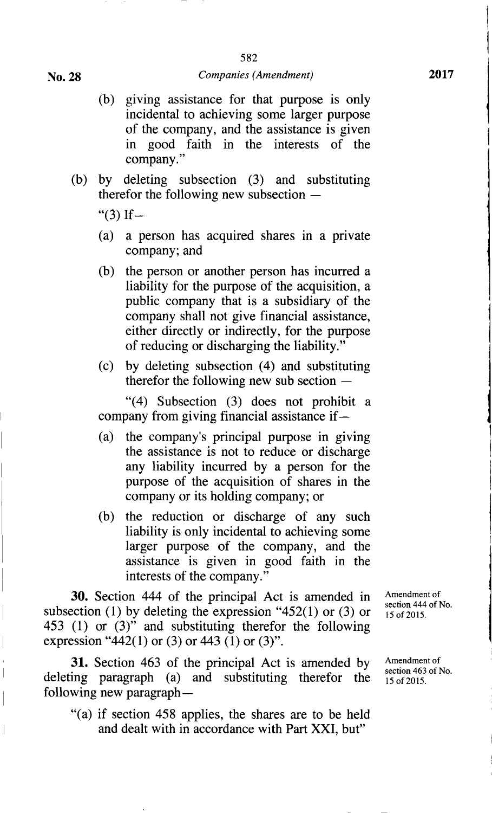- (b) giving assistance for that purpose is only incidental to achieving some larger purpose of the company, and the assistance is given<br>in good faith in the interests of the in good faith in the company."
- (b) by deleting subsection (3) and substituting therefor the following new subsection -
	- "(3) If  $-$
	- (a) a person has acquired shares in a private company; and
	- (b) the person or another person has incurred <sup>a</sup> liability for the purpose of the acquisition, a public company that is a subsidiary of the company shall not give financial assistance, either directly or indirectly, for the purpose of reducing or discharging the liability."
	- (c) by deleting subsection (4) and substituting therefor the following new sub section –

"(4) Subsection (3) does not prohibit <sup>a</sup> company from giving financial assistance if-

- (a) the company's principal purpose in giving the assistance is not to reduce or discharge any liability incurred by a person for the purpose of the acquisition of shares in the company or its holding company; or
- (b) the reduction or discharge of any such liability is only incidental to achieving some larger purpose of the company, and the assistance is given in good faith in the interests of the company."

30. Section 444 of the principal Act is amended in subsection (1) by deleting the expression "452(1) or (3) or 453 (1) or (3)" and substituting therefor the following expression "442(1) or (3) or 443 (1) or (3)".

31. Section 463 of the principal Act is amended by deleting paragraph (a) and substituting therefor the following new paragraph—

"(a) if section 458 applies, the shares are to be held and dealt with in accordance with Part XXI, but"

Amendment of section 444 of No. 15 of 2015.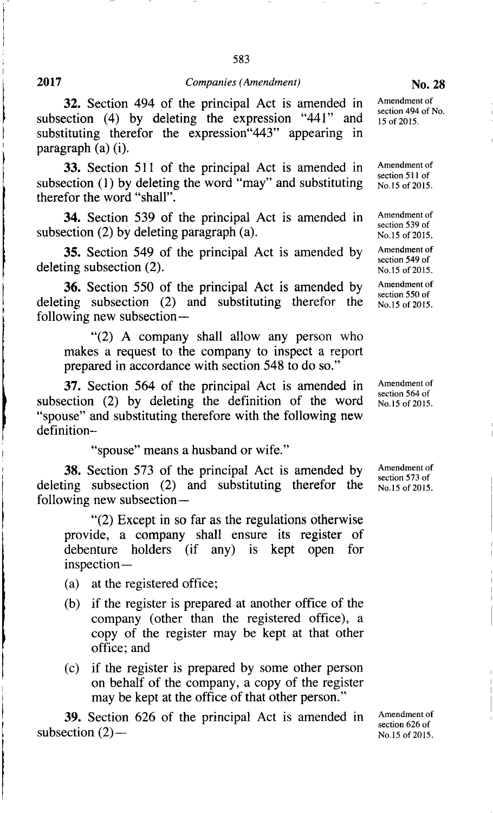32. Section 494 of the principal Act is amended in subsection (4) by deleting the expression "441" and substituting therefor the expression"443" appearing in paragraph (a) (i).

33. Section 511 of the principal Act is amended in subsection (1) by deleting the word "may" and substituting therefor the word "shall".

34. Section 539 of the principal Act is amended in subsection  $(2)$  by deleting paragraph  $(a)$ .

35. Section 549 of the principal Act is amended by deleting subsection (2).

36. Section 550 of the principal Act is amended by deleting subsection (2) and substituting therefor the following new subsection-

"(2) A company shall allow any person who makes a request to the company to inspect a report prepared in accordance with section 548 to do so."

37. Section 564 of the principal Act is amended in subsection (2) by deleting the definition of the word "spouse" and substituting therefore with the following new  $definition-$ 

"spouse" means a husband or wife."

38. Section 573 of the principal Act is amended by deleting subsection (2) and substituting therefor the following new subsection-

"(2) Except in so far as the regulations otherwise provide, a company shall ensure its register of debenture holders (if any) is kept open for inspection-

(a) at the registered office;

- (b) if the register is prepared at another office of the company (other than the registered office), a copy of the register may be kept at that other office; and
- (c) if the register is prepared by some other person on behalf of the company, a copy of the register may be kept at the office of that other person."

39. Section 626 of the principal Act is amended in subsection (2) -

Amendment of section 494 of No. 15 of 2015.

Amendment of section 511 of No.15 of 2015.

Amendment of section 539 of No.l5 of 2015.

Amendment of section 549 of No.15 of 2015.

Amendment of section 550 of No.15 of 2015.

Amendment of section 564 of No.15 of 2015.

Amendment of section 573 of No.15 of 2015.

Amendment of section 626 of No.15 of 2015.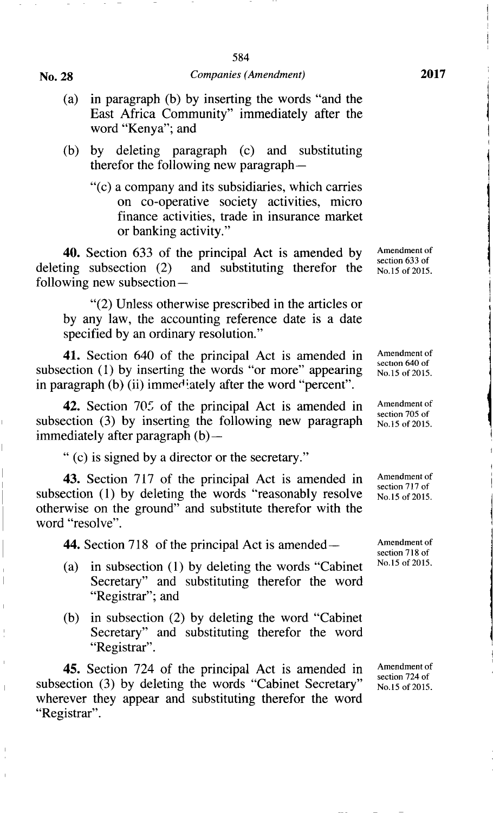- (a) in paragraph (b) by inserting the words "and the East Africa Community" immediately after the word "Kenya"; and
- (b) by deleting paragraph (c) and substituting therefor the following new paragraph-
	- "(c) a company and its subsidiaries, which carries on co-operative society activities, micro finance activities, trade in insurance market or banking activity."

40. Section 633 of the principal Act is amended by  $\frac{\text{Amendment of}}{\text{section }633 \text{ of}}$ deleting subsection (2) and substituting therefor the  $\frac{\text{secicond}}{\text{No.15 of 2015}}$ . following new subsection-

"(2) Unless otherwise prescribed in the articles or by any law, the accounting reference date is a date specified by an ordinary resolution."

41. Section 640 of the principal Act is amended in Amendment of section 640 of subsection (1) by inserting the words "or more" appearing  $N_{0.15 \text{ of } 2015}$ in paragraph (b) (ii) immediately after the word "percent".

42. Section 705 of the principal Act is amended in Amendment of section 705 of subsection (3) by inserting the following new paragraph  $\frac{\text{sec}(100)}{N_0.15 \text{ of } 2015}$ . immediately after paragraph  $(b)$  —

" (c) is signed by a director or the secretary."

43. Section 717 of the principal Act is amended in Amendment of section 717 of subsection (1) by deleting the words "reasonably resolve  $N_{0.15 \text{ of } 2015}$ . otherwise on the ground" and substitute therefor with the word "resolve".

44. Section 718 of the principal Act is amended —  $\frac{\text{Amendment of } }{2(6)}$ <br>(a) in subsection (1) by deleting the words "Cebinet  $\frac{\text{No.15 of 2015}}{10}$ 

- (a) in subsection  $(1)$  by deleting the words "Cabinet" Secretary" and substituting therefor the word "Registrar"; and
- (b) in subsection (2) by deleting the word "Cabinet Secretary" and substituting therefor the word "Registrar".

45. Section 724 of the principal Act is amended in Amendment of section 724 of subsection (3) by deleting the words "Cabinet Secretary"  $N_{0.15 \text{ of } 2015}$ . wherever they appear and substituting therefor the word "Registrar".

 $\|$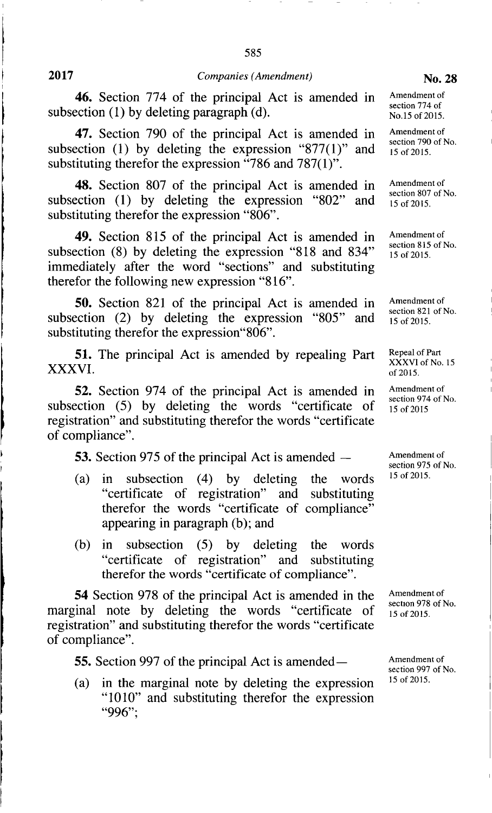46. Section 774 of the principal Act is amended in Amendment of section 774 of subsection (1) by deleting paragraph (d).  $N_{0.15 \text{ of } 2015}$ .

47. Section 790 of the principal Act is amended in Amendment of section 790 of No. subsection (1) by deleting the expression "877(1)" and  $^{15}$  section 790 substituting therefor the expression "786 and  $787(1)$ ".

**48.** Section 807 of the principal Act is amended in  $\frac{\text{Amendment of}}{\text{section 807 of No.}}$ subsection (1) by deleting the expression "802" and  $^{15}_{15}$  of 2015. substituting therefor the expression "806".

49. Section 815 of the principal Act is amended in  $\frac{\text{Amendment of}}{\text{section }815 \text{ of No.}}$ subsection (8) by deleting the expression "818 and  $834$ "  $\frac{15 \text{ of } 2015}{15 \text{ of } 2015}$ . immediately after the word "sections" and substituting therefor the following new expression "816".

50. Section 821 of the principal Act is amended in  $\frac{\text{Amendment of}}{\text{section } 821 \text{ of No.}}$ subsection (2) by deleting the expression "805" and  $\frac{\text{secum } 15}{15 \text{ of } 2015}$ . substituting therefor the expression "806".

**51.** The principal Act is amended by repealing Part  $\frac{\text{Repeal of Part}}{\text{XXXVI of No. 15}}$  $\frac{1}{2}$  XXXVI of No. 15

52. Section 974 of the principal Act is amended in  $\frac{\text{Amendment of}}{\text{section } 974 \text{ of No.}}$ subsection (5) by deleting the words "certificate of  $\frac{\text{section 974}}{15 \text{ of }2015}$ registration" and substituting therefor the words "certificate of compliance".

53. Section 975 of the principal Act is amended —

- (a) in subsection  $(4)$  by deleting the words "certificate of registration" and substituting therefor the words "certificate of compliance" appearing in paragraph (b); and
- (b) in subsection (5) by deleting the words "certificate of registration" and substituting therefor the words "certificate of compliance".

54 Section 978 of the principal Act is amended in the Amendment of section 978 of No. marginal note by deleting the words "certificate of  $^{15}$   $^{15}$   $^{16}$   $^{2015}$ " registration" and substituting therefor the words "certificate of compliance".

**55.** Section 997 of the principal Act is amended—<br>
(a) in the marginal pote by deleting the expression  $\frac{15 \text{ of } 2015}{15 \text{ of } 2015}$ .

 $(a)$  in the marginal note by deleting the expression "1010" and substituting therefor the expression "996":

Amendment of<br>section 975 of No.<br>15 of 2015.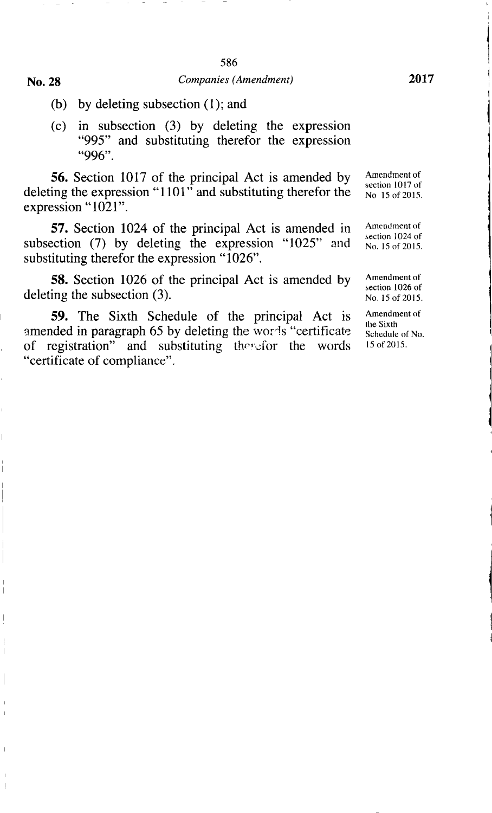#### No. 28 Companies (Amendment) <sup>2017</sup>

- - (b) by deleting subsection  $(1)$ ; and
	- (c) in subsection (3) by deleting the expression "995" and substituting therefor the expression "996".

**56.** Section 1017 of the principal Act is amended by  $\frac{\text{Amendment of}}{\text{section 1017}}$ deleting the expression "1101" and substituting therefor the  $\frac{\text{section 1017 of}}{\text{No } 15 \text{ of } 2015.}$ expression "1021".

57. Section 1024 of the principal Act is amended in Amendment of section 1024 of subsection (7) by deleting the expression "1025" and  $N_{0.15 \text{ of }2015}$ . substituting therefor the expression "1026".

58. Section 1026 of the principal Act is amended by Amendment of section 1026 of deleting the subsection (3).  $\frac{3.15 \text{ of } 2015}{10.15 \text{ of } 2015}$ 

59. The Sixth Schedule of the principal Act is Amendment of amended in paragraph 65 by deleting the words "certificate Schedule of No amended in paragraph 65 by deleting the words "certificate Schedule of No.<br>of registration" and substituting therefor the words <sup>15 of 2015.</sup> "certificate of compliance".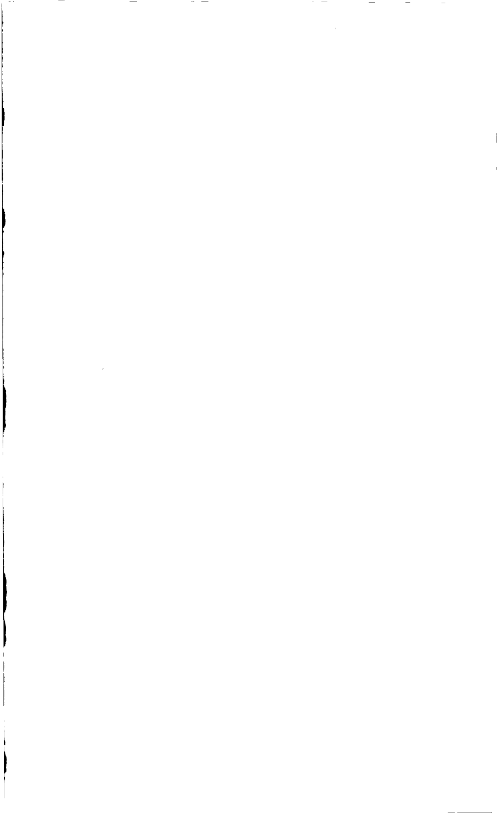